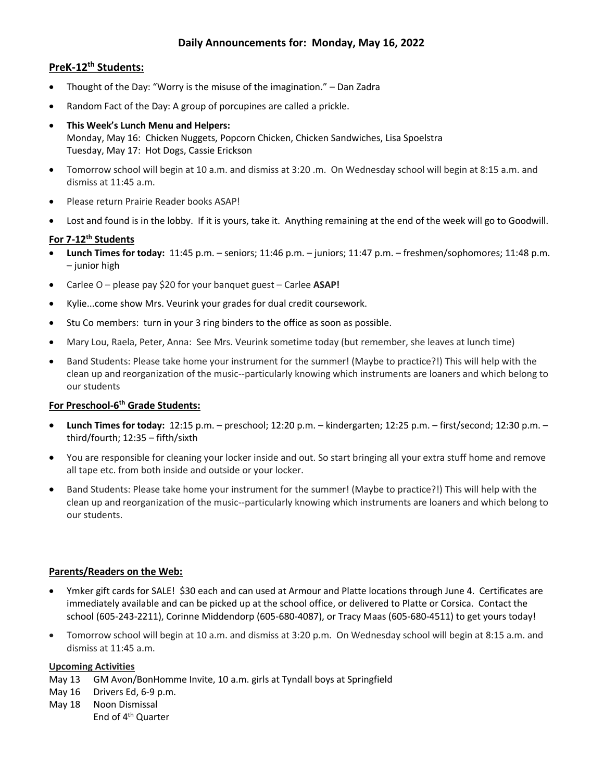# **Daily Announcements for: Monday, May 16, 2022**

## **PreK-12th Students:**

- Thought of the Day: "Worry is the misuse of the imagination." Dan Zadra
- Random Fact of the Day: A group of porcupines are called a prickle.
- **This Week's Lunch Menu and Helpers:** Monday, May 16: Chicken Nuggets, Popcorn Chicken, Chicken Sandwiches, Lisa Spoelstra Tuesday, May 17: Hot Dogs, Cassie Erickson
- Tomorrow school will begin at 10 a.m. and dismiss at 3:20 .m. On Wednesday school will begin at 8:15 a.m. and dismiss at 11:45 a.m.
- Please return Prairie Reader books ASAP!
- Lost and found is in the lobby. If it is yours, take it. Anything remaining at the end of the week will go to Goodwill.

### **For 7-12th Students**

- **Lunch Times for today:** 11:45 p.m. seniors; 11:46 p.m. juniors; 11:47 p.m. freshmen/sophomores; 11:48 p.m. – junior high
- Carlee O please pay \$20 for your banquet guest Carlee **ASAP!**
- Kylie...come show Mrs. Veurink your grades for dual credit coursework.
- Stu Co members: turn in your 3 ring binders to the office as soon as possible.
- Mary Lou, Raela, Peter, Anna: See Mrs. Veurink sometime today (but remember, she leaves at lunch time)
- Band Students: Please take home your instrument for the summer! (Maybe to practice?!) This will help with the clean up and reorganization of the music--particularly knowing which instruments are loaners and which belong to our students

#### **For Preschool-6 th Grade Students:**

- **Lunch Times for today:** 12:15 p.m. preschool; 12:20 p.m. kindergarten; 12:25 p.m. first/second; 12:30 p.m. third/fourth; 12:35 – fifth/sixth
- You are responsible for cleaning your locker inside and out. So start bringing all your extra stuff home and remove all tape etc. from both inside and outside or your locker.
- Band Students: Please take home your instrument for the summer! (Maybe to practice?!) This will help with the clean up and reorganization of the music--particularly knowing which instruments are loaners and which belong to our students.

## **Parents/Readers on the Web:**

- Ymker gift cards for SALE! \$30 each and can used at Armour and Platte locations through June 4. Certificates are immediately available and can be picked up at the school office, or delivered to Platte or Corsica. Contact the school (605-243-2211), Corinne Middendorp (605-680-4087), or Tracy Maas (605-680-4511) to get yours today!
- Tomorrow school will begin at 10 a.m. and dismiss at 3:20 p.m. On Wednesday school will begin at 8:15 a.m. and dismiss at 11:45 a.m.

#### **Upcoming Activities**

- May 13 GM Avon/BonHomme Invite, 10 a.m. girls at Tyndall boys at Springfield
- May 16 Drivers Ed, 6-9 p.m.
- May 18 Noon Dismissal
	- End of 4th Quarter